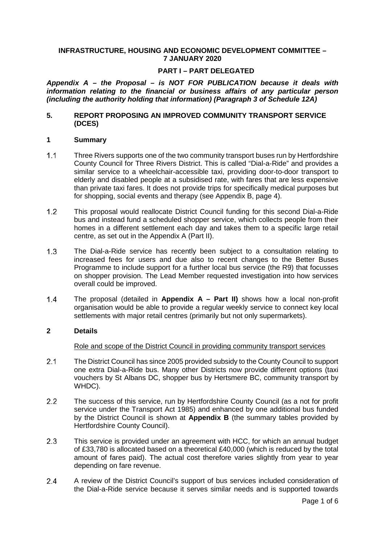### **INFRASTRUCTURE, HOUSING AND ECONOMIC DEVELOPMENT COMMITTEE – 7 JANUARY 2020**

### **PART I – PART DELEGATED**

*Appendix A – the Proposal – is NOT FOR PUBLICATION because it deals with information relating to the financial or business affairs of any particular person (including the authority holding that information) (Paragraph 3 of Schedule 12A)*

#### **5. REPORT PROPOSING AN IMPROVED COMMUNITY TRANSPORT SERVICE (DCES)**

#### **1 Summary**

- $1.1$ Three Rivers supports one of the two community transport buses run by Hertfordshire County Council for Three Rivers District. This is called "Dial-a-Ride" and provides a similar service to a wheelchair-accessible taxi, providing door-to-door transport to elderly and disabled people at a subsidised rate, with fares that are less expensive than private taxi fares. It does not provide trips for specifically medical purposes but for shopping, social events and therapy (see Appendix B, page 4).
- $1.2$ This proposal would reallocate District Council funding for this second Dial-a-Ride bus and instead fund a scheduled shopper service, which collects people from their homes in a different settlement each day and takes them to a specific large retail centre, as set out in the Appendix A (Part II).
- $1.3$ The Dial-a-Ride service has recently been subject to a consultation relating to increased fees for users and due also to recent changes to the Better Buses Programme to include support for a further local bus service (the R9) that focusses on shopper provision. The Lead Member requested investigation into how services overall could be improved.
- The proposal (detailed in **Appendix A – Part II)** shows how a local non-profit  $1.4$ organisation would be able to provide a regular weekly service to connect key local settlements with major retail centres (primarily but not only supermarkets).

### **2 Details**

#### Role and scope of the District Council in providing community transport services

- $2.1$ The District Council has since 2005 provided subsidy to the County Council to support one extra Dial-a-Ride bus. Many other Districts now provide different options (taxi vouchers by St Albans DC, shopper bus by Hertsmere BC, community transport by WHDC).
- $2.2$ The success of this service, run by Hertfordshire County Council (as a not for profit service under the Transport Act 1985) and enhanced by one additional bus funded by the District Council is shown at **Appendix B** (the summary tables provided by Hertfordshire County Council).
- $2.3$ This service is provided under an agreement with HCC, for which an annual budget of £33,780 is allocated based on a theoretical £40,000 (which is reduced by the total amount of fares paid). The actual cost therefore varies slightly from year to year depending on fare revenue.
- $2.4$ A review of the District Council's support of bus services included consideration of the Dial-a-Ride service because it serves similar needs and is supported towards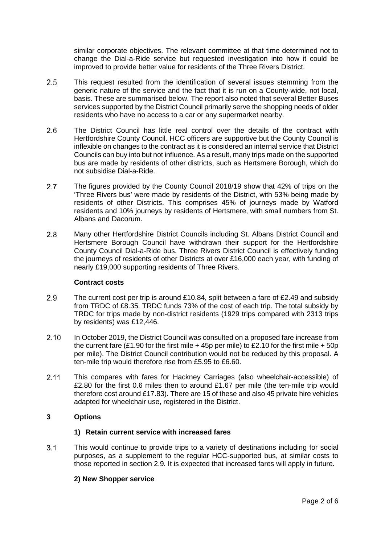similar corporate objectives. The relevant committee at that time determined not to change the Dial-a-Ride service but requested investigation into how it could be improved to provide better value for residents of the Three Rivers District.

- 2.5 This request resulted from the identification of several issues stemming from the generic nature of the service and the fact that it is run on a County-wide, not local, basis. These are summarised below. The report also noted that several Better Buses services supported by the District Council primarily serve the shopping needs of older residents who have no access to a car or any supermarket nearby.
- $2.6$ The District Council has little real control over the details of the contract with Hertfordshire County Council. HCC officers are supportive but the County Council is inflexible on changes to the contract as it is considered an internal service that District Councils can buy into but not influence. As a result, many trips made on the supported bus are made by residents of other districts, such as Hertsmere Borough, which do not subsidise Dial-a-Ride.
- $2.7$ The figures provided by the County Council 2018/19 show that 42% of trips on the 'Three Rivers bus' were made by residents of the District, with 53% being made by residents of other Districts. This comprises 45% of journeys made by Watford residents and 10% journeys by residents of Hertsmere, with small numbers from St. Albans and Dacorum.
- $2.8$ Many other Hertfordshire District Councils including St. Albans District Council and Hertsmere Borough Council have withdrawn their support for the Hertfordshire County Council Dial-a-Ride bus. Three Rivers District Council is effectively funding the journeys of residents of other Districts at over £16,000 each year, with funding of nearly £19,000 supporting residents of Three Rivers.

# **Contract costs**

- The current cost per trip is around £10.84, split between a fare of £2.49 and subsidy 2.9 from TRDC of £8.35. TRDC funds 73% of the cost of each trip. The total subsidy by TRDC for trips made by non-district residents (1929 trips compared with 2313 trips by residents) was £12,446.
- $2.10$ In October 2019, the District Council was consulted on a proposed fare increase from the current fare (£1.90 for the first mile + 45p per mile) to £2.10 for the first mile + 50p per mile). The District Council contribution would not be reduced by this proposal. A ten-mile trip would therefore rise from £5.95 to £6.60.
- $2.11$ This compares with fares for Hackney Carriages (also wheelchair-accessible) of £2.80 for the first 0.6 miles then to around £1.67 per mile (the ten-mile trip would therefore cost around £17.83). There are 15 of these and also 45 private hire vehicles adapted for wheelchair use, registered in the District.

# **3 Options**

# **1) Retain current service with increased fares**

 $3.1$ This would continue to provide trips to a variety of destinations including for social purposes, as a supplement to the regular HCC-supported bus, at similar costs to those reported in section 2.9. It is expected that increased fares will apply in future.

# **2) New Shopper service**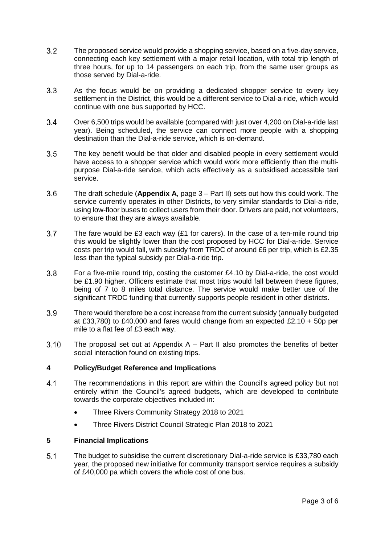- $3.2$ The proposed service would provide a shopping service, based on a five-day service, connecting each key settlement with a major retail location, with total trip length of three hours, for up to 14 passengers on each trip, from the same user groups as those served by Dial-a-ride.
- $3.3$ As the focus would be on providing a dedicated shopper service to every key settlement in the District, this would be a different service to Dial-a-ride, which would continue with one bus supported by HCC.
- $3.4$ Over 6,500 trips would be available (compared with just over 4,200 on Dial-a-ride last year). Being scheduled, the service can connect more people with a shopping destination than the Dial-a-ride service, which is on-demand.
- $3.5$ The key benefit would be that older and disabled people in every settlement would have access to a shopper service which would work more efficiently than the multipurpose Dial-a-ride service, which acts effectively as a subsidised accessible taxi service.
- $3.6$ The draft schedule (**Appendix A**, page 3 – Part II) sets out how this could work. The service currently operates in other Districts, to very similar standards to Dial-a-ride, using low-floor buses to collect users from their door. Drivers are paid, not volunteers, to ensure that they are always available.
- $3.7$ The fare would be £3 each way (£1 for carers). In the case of a ten-mile round trip this would be slightly lower than the cost proposed by HCC for Dial-a-ride. Service costs per trip would fall, with subsidy from TRDC of around £6 per trip, which is £2.35 less than the typical subsidy per Dial-a-ride trip.
- $3.8$ For a five-mile round trip, costing the customer £4.10 by Dial-a-ride, the cost would be £1.90 higher. Officers estimate that most trips would fall between these figures, being of 7 to 8 miles total distance. The service would make better use of the significant TRDC funding that currently supports people resident in other districts.
- $3.9$ There would therefore be a cost increase from the current subsidy (annually budgeted at £33,780) to £40,000 and fares would change from an expected £2.10  $+$  50p per mile to a flat fee of £3 each way.
- $3.10$ The proposal set out at Appendix  $A - Part II$  also promotes the benefits of better social interaction found on existing trips.

# **4 Policy/Budget Reference and Implications**

- $4.1$ The recommendations in this report are within the Council's agreed policy but not entirely within the Council's agreed budgets, which are developed to contribute towards the corporate objectives included in:
	- Three Rivers Community Strategy 2018 to 2021
	- Three Rivers District Council Strategic Plan 2018 to 2021

# **5 Financial Implications**

 $5.1$ The budget to subsidise the current discretionary Dial-a-ride service is £33,780 each year, the proposed new initiative for community transport service requires a subsidy of £40,000 pa which covers the whole cost of one bus.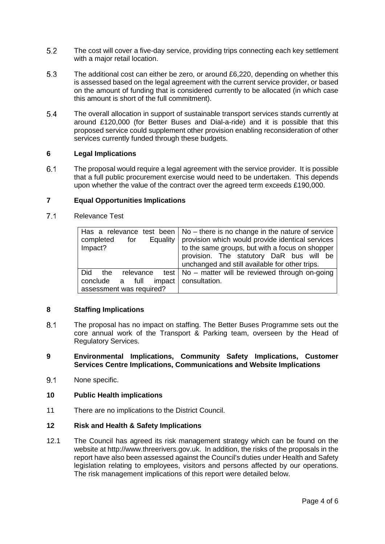- $5.2$ The cost will cover a five-day service, providing trips connecting each key settlement with a major retail location.
- 5.3 The additional cost can either be zero, or around £6,220, depending on whether this is assessed based on the legal agreement with the current service provider, or based on the amount of funding that is considered currently to be allocated (in which case this amount is short of the full commitment).
- 5.4 The overall allocation in support of sustainable transport services stands currently at around £120,000 (for Better Buses and Dial-a-ride) and it is possible that this proposed service could supplement other provision enabling reconsideration of other services currently funded through these budgets.

### **6 Legal Implications**

6.1 The proposal would require a legal agreement with the service provider. It is possible that a full public procurement exercise would need to be undertaken. This depends upon whether the value of the contract over the agreed term exceeds £190,000.

# **7 Equal Opportunities Implications**

 $7.1$ Relevance Test

| Equality<br>completed<br>for<br>Impact?                       | Has a relevance test been $\vert$ No – there is no change in the nature of service<br>provision which would provide identical services<br>to the same groups, but with a focus on shopper<br>provision. The statutory DaR bus will be<br>unchanged and still available for other trips. |
|---------------------------------------------------------------|-----------------------------------------------------------------------------------------------------------------------------------------------------------------------------------------------------------------------------------------------------------------------------------------|
| Did<br>the.<br>relevance<br>impact  <br>full<br>conclude<br>a | test   No $-$ matter will be reviewed through on-going<br>consultation.                                                                                                                                                                                                                 |
| assessment was required?                                      |                                                                                                                                                                                                                                                                                         |

#### **8 Staffing Implications**

 $8.1$ The proposal has no impact on staffing. The Better Buses Programme sets out the core annual work of the Transport & Parking team, overseen by the Head of Regulatory Services.

### **9 Environmental Implications, Community Safety Implications, Customer Services Centre Implications, Communications and Website Implications**

 $9.1$ None specific.

#### **10 Public Health implications**

11 There are no implications to the District Council.

#### **12 Risk and Health & Safety Implications**

12.1 The Council has agreed its risk management strategy which can be found on the website at http://www.threerivers.gov.uk. In addition, the risks of the proposals in the report have also been assessed against the Council's duties under Health and Safety legislation relating to employees, visitors and persons affected by our operations. The risk management implications of this report were detailed below.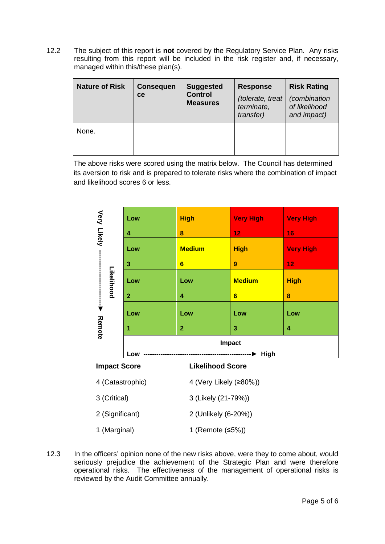12.2 The subject of this report is **not** covered by the Regulatory Service Plan. Any risks resulting from this report will be included in the risk register and, if necessary, managed within this/these plan(s).

| <b>Nature of Risk</b> | <b>Consequen</b><br>ce | <b>Suggested</b><br><b>Control</b><br><b>Measures</b> | <b>Response</b><br>(tolerate, treat<br>terminate,<br>transfer) | <b>Risk Rating</b><br><i>(combination</i><br>of likelihood<br>and impact) |
|-----------------------|------------------------|-------------------------------------------------------|----------------------------------------------------------------|---------------------------------------------------------------------------|
| None.                 |                        |                                                       |                                                                |                                                                           |
|                       |                        |                                                       |                                                                |                                                                           |

The above risks were scored using the matrix below. The Council has determined its aversion to risk and is prepared to tolerate risks where the combination of impact and likelihood scores 6 or less.

|                                                                                                                                                                                                                                                                                                     |                                                                                  | Low           | <b>High</b>    | <b>Very High</b>       | <b>Very High</b>    |  |
|-----------------------------------------------------------------------------------------------------------------------------------------------------------------------------------------------------------------------------------------------------------------------------------------------------|----------------------------------------------------------------------------------|---------------|----------------|------------------------|---------------------|--|
|                                                                                                                                                                                                                                                                                                     | Very Likely -<br>4<br>Low<br>$\mathbf{3}$<br>Likelihood<br>Low<br>$\overline{2}$ |               | 8              | 12                     | 16                  |  |
|                                                                                                                                                                                                                                                                                                     |                                                                                  | <b>Medium</b> | <b>High</b>    | <b>Very High</b>       |                     |  |
|                                                                                                                                                                                                                                                                                                     |                                                                                  |               | $6\phantom{1}$ | $\boldsymbol{9}$       | 12                  |  |
|                                                                                                                                                                                                                                                                                                     |                                                                                  | Low           | <b>Medium</b>  | <b>High</b>            |                     |  |
|                                                                                                                                                                                                                                                                                                     |                                                                                  |               | 4              | $6\phantom{a}$         | 8                   |  |
|                                                                                                                                                                                                                                                                                                     |                                                                                  | Low           | Low            | Low                    | Low                 |  |
|                                                                                                                                                                                                                                                                                                     | Remote                                                                           | 1             | $\overline{2}$ | 3                      | $\overline{\bf{4}}$ |  |
|                                                                                                                                                                                                                                                                                                     |                                                                                  |               | <b>Impact</b>  |                        |                     |  |
|                                                                                                                                                                                                                                                                                                     |                                                                                  | Low           |                | -----------▶ High      |                     |  |
|                                                                                                                                                                                                                                                                                                     | <b>Likelihood Score</b><br><b>Impact Score</b>                                   |               |                |                        |                     |  |
|                                                                                                                                                                                                                                                                                                     | 4 (Catastrophic)                                                                 |               |                | 4 (Very Likely (≥80%)) |                     |  |
|                                                                                                                                                                                                                                                                                                     | 3 (Critical)                                                                     |               |                | 3 (Likely (21-79%))    |                     |  |
|                                                                                                                                                                                                                                                                                                     | 2 (Significant)                                                                  |               |                | 2 (Unlikely (6-20%))   |                     |  |
|                                                                                                                                                                                                                                                                                                     | 1 (Marginal)                                                                     |               |                | 1 (Remote (≤5%))       |                     |  |
| In the officers' opinion none of the new risks above, were they to come about, would<br>seriously prejudice the achievement of the Strategic Plan and were therefore<br>operational risks. The effectiveness of the management of operational risks is<br>reviewed by the Audit Committee annually. |                                                                                  |               |                |                        |                     |  |

12.3 In the officers' opinion none of the new risks above, were they to come about, would seriously prejudice the achievement of the Strategic Plan and were therefore operational risks. The effectiveness of the management of operational risks is reviewed by the Audit Committee annually.